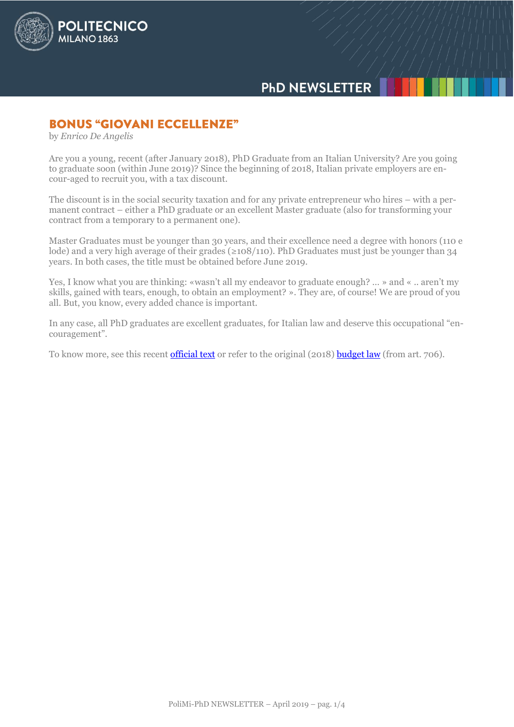

# **PHD NEWSLETTER**

### **BONUS "GIOVANI ECCELLENZE"**

by *Enrico De Angelis*

Are you a young, recent (after January 2018), PhD Graduate from an Italian University? Are you going to graduate soon (within June 2019)? Since the beginning of 2018, Italian private employers are encour-aged to recruit you, with a tax discount.

The discount is in the social security taxation and for any private entrepreneur who hires – with a permanent contract – either a PhD graduate or an excellent Master graduate (also for transforming your contract from a temporary to a permanent one).

Master Graduates must be younger than 30 years, and their excellence need a degree with honors (110 e lode) and a very high average of their grades (≥108/110). PhD Graduates must just be younger than 34 years. In both cases, the title must be obtained before June 2019.

Yes, I know what you are thinking: «wasn't all my endeavor to graduate enough? … » and « .. aren't my skills, gained with tears, enough, to obtain an employment? ». They are, of course! We are proud of you all. But, you know, every added chance is important.

In any case, all PhD graduates are excellent graduates, for Italian law and deserve this occupational "encouragement".

To know more, see this recent [official text](https://www.orizzontescuola.it/wp-content/uploads/2019/03/mpiAOODGSINFS07032019.pdf) or refer to the original (2018) [budget law](http://www.gazzettaufficiale.it/eli/gu/2018/12/31/302/so/62/sg/pdf) (from art. 706).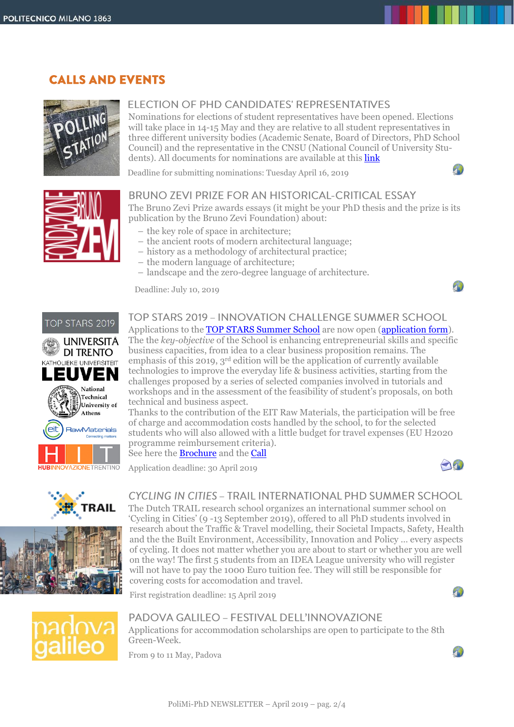### **CALLS AND EVENTS**



### FI ECTION OF PHD CANDIDATES' REPRESENTATIVES

Nominations for elections of student representatives have been opened. Elections will take place in 14-15 May and they are relative to all student representatives in three different university bodies (Academic Senate, Board of Directors, PhD School Council) and the representative in the CNSU (National Council of University Students). All documents for nominations are available at this **link** 

Deadline for submitting nominations: Tuesday April 16, 2019



#### BRUNO ZEVI PRIZE FOR AN HISTORICAL-CRITICAL ESSAY

The Bruno Zevi Prize awards essays (it might be your PhD thesis and the prize is its publication by the Bruno Zevi Foundation) about:

- the key role of space in architecture;
- the ancient roots of modern architectural language;
- history as a methodology of architectural practice;
- the modern language of architecture;
- landscape and the zero-degree language of architecture.

Deadline: July 10, 2019







# TOP STARS 2019 - INNOVATION CHALLENGE SUMMER SCHOOL

Applications to the [TOP STARS Summer School](https://topstars2019.weebly.com/) are now open [\(application form\)](https://bit.ly/2TwL0Kx). The the *key-objective* of the School is enhancing entrepreneurial skills and specific business capacities, from idea to a clear business proposition remains. The emphasis of this 2019,  $3<sup>rd</sup>$  edition will be the application of currently available technologies to improve the everyday life & business activities, starting from the challenges proposed by a series of selected companies involved in tutorials and workshops and in the assessment of the feasibility of student's proposals, on both technical and business aspect.

Thanks to the contribution of the EIT Raw Materials, the participation will be free of charge and accommodation costs handled by the school, to for the selected students who will also allowed with a little budget for travel expenses (EU H2020 programme reimbursement criteria).

See here the [Brochure](http://www.dottorato.polimi.it/fileadmin/files/dottorato/newsletter/allegati/2019-04/TOP_STARS_2019_50x70.pdf) and the [Call](http://www.dottorato.polimi.it/fileadmin/files/dottorato/newsletter/allegati/2019-04/TOP_STARS_2019_Call_for_application.pdf)

Application deadline: 30 April 2019



 $\mathbf{L}$ 

### CYCLING IN CITIES - TRAIL INTERNATIONAL PHD SUMMER SCHOOL

The Dutch TRAIL research school organizes an international summer school on 'Cycling in Cities' (9 -13 September 2019), offered to all PhD students involved in research about the Traffic & Travel modelling, their Societal Impacts, Safety, Health and the the Built Environment, Accessibility, Innovation and Policy … every aspects of cycling. It does not matter whether you are about to start or whether you are well on the way! The first 5 students from an IDEA League university who will register will not have to pay the 1000 Euro tuition fee. They will still be responsible for covering costs for accomodation and travel.

First registration deadline: 15 April 2019





#### PADOVA GALILEO - FESTIVAL DELL'INNOVAZIONE Applications for accommodation scholarships are open to participate to the 8th Green-Week.

From 9 to 11 May, Padova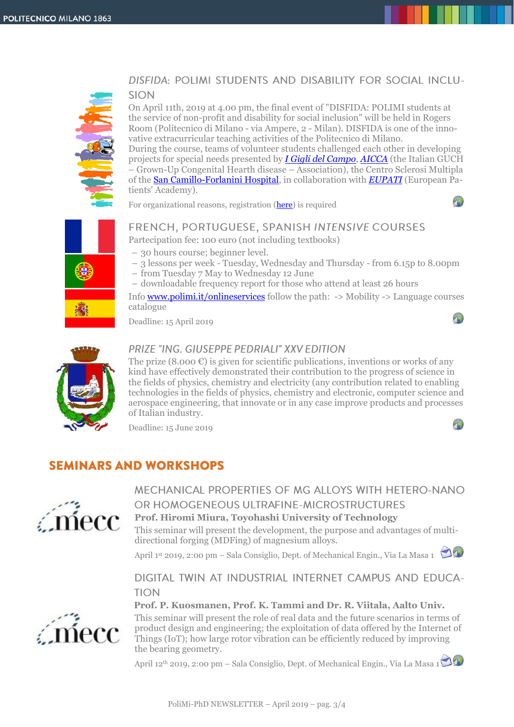

### DISFIDA: POLIMI STUDENTS AND DISABILITY FOR SOCIAL INCLU-**SION**

On April 11th, 2019 at 4.00 pm, the final event of "DISFIDA: POLIMI students at the service of non-profit and disability for social inclusion" will be held in Rogers Room (Politecnico di Milano - via Ampere, 2 - Milan). DISFIDA is one of the innovative extracurricular teaching activities of the Politecnico di Milano.

During the course, teams of volunteer students challenged each other in developing projects for special needs presented by *[I Gigli del Campo](http://www.igiglidelcampo.org/i-gigli/)*, *[AICCA](http://www.aicca.eu/)* (the Italian GUCH – Grown-Up Congenital Hearth disease – Association), the Centro Sclerosi Multipla of the [San Camillo-Forlanini Hospital,](http://www.scamilloforlanini.rm.it/) in collaboration with *[EUPATI](https://www.eupati.eu/welcome/)* (European Patients' Academy).  $1$ 

For organizational reasons, registration [\(here\)](https://docs.google.com/forms/d/e/1FAIpQLSfbhV4MxS7OHxTNWOEEeULoL0uElXG-ZcpW1zDQ3FxZQ_Fb2A/viewform?vc=0&c=0&w=1) is required

# FRENCH, PORTUGUESE, SPANISH INTENSIVE COURSES

Partecipation fee: 100 euro (not including textbooks)

- 30 hours course; beginner level.
- 3 lessons per week Tuesday, Wednesday and Thursday from 6.15p to 8.00pm
- from Tuesday 7 May to Wednesday 12 June
- downloadable frequency report for those who attend at least 26 hours

Inf[o www.polimi.it/onlineservices](http://www.polimi.it/onlineservices) follow the path: -> Mobility -> Language courses catalogue

Deadline: 15 April 2019



### PRIZE "ING. GIUSEPPE PEDRIALI" XXV EDITION

The prize  $(8.000 \mathcal{E})$  is given for scientific publications, inventions or works of any kind have effectively demonstrated their contribution to the progress of science in the fields of physics, chemistry and electricity (any contribution related to enabling technologies in the fields of physics, chemistry and electronic, computer science and aerospace engineering, that innovate or in any case improve products and processes of Italian industry.

Deadline: 15 June 2019

## **SEMINARS AND WORKSHOPS**



MECHANICAL PROPERTIES OF MG ALLOYS WITH HETERO-NANO OR HOMOGENEOUS ULTRAFINE-MICROSTRUCTURES **Prof. Hiromi Miura, Toyohashi University of Technology** This seminar will present the development, the purpose and advantages of multi-

directional forging (MDFing) of magnesium alloys.

April 1st 2019, 2:00 pm – Sala Consiglio, Dept. of Mechanical Engin., Via La Masa 1

DIGITAL TWIN AT INDUSTRIAL INTERNET CAMPUS AND EDUCA-TION



**Prof. P. Kuosmanen, Prof. K. Tammi and Dr. R. Viitala, Aalto Univ.**

This seminar will present the role of real data and the future scenarios in terms of product design and engineering; the exploitation of data offered by the Internet of Things (IoT); how large rotor vibration can be efficiently reduced by improving the bearing geometry.

April 12<sup>th</sup> 2019, 2:00 pm – Sala Consiglio, Dept. of Mechanical Engin., Via La Masa 1

 $\sqrt{1}$ 

 $\mathcal{F}_{\mathcal{D}}$